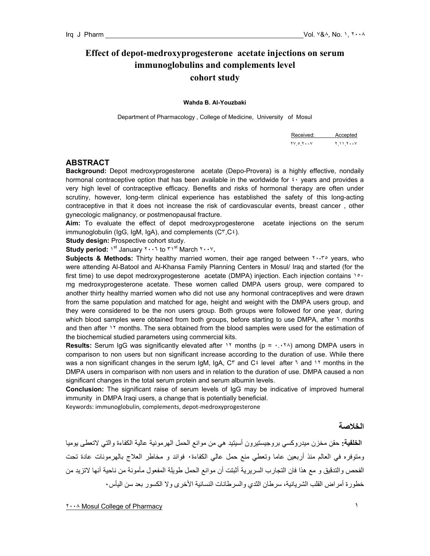# **Effect of depot-medroxyprogesterone acetate injections on serum immunoglobulins and complements level cohort study**

#### **Wahda B. Al-Youzbaki**

Department of Pharmacology , College of Medicine, University of Mosul

| Received: Accepted                                             |  |
|----------------------------------------------------------------|--|
| $\gamma \circ \gamma \cdot \cdot \gamma$ $\gamma \cdot \gamma$ |  |

#### **ABSTRACT**

**Background:** Depot medroxyprogesterone acetate (Depo-Provera) is a highly effective, nondaily hormonal contraceptive option that has been available in the worldwide for  $\ell$  vears and provides a very high level of contraceptive efficacy. Benefits and risks of hormonal therapy are often under scrutiny, however, long-term clinical experience has established the safety of this long-acting contraceptive in that it does not increase the risk of cardiovascular events, breast cancer , other gynecologic malignancy, or postmenopausal fracture.

**Aim:** To evaluate the effect of depot medroxyprogesterone acetate injections on the serum immunoglobulin (IgG, IgM, IgA), and complements (C٣,C٤).

**Study design: Prospective cohort study.** 

**Study period:** ١st January ٢٠٠٦ to ٣١st March ٢٠٠٧**.** 

**Subjects & Methods:** Thirty healthy married women, their age ranged between ٢٠-٣٥ years, who were attending Al-Batool and Al-Khansa Family Planning Centers in Mosul/ Iraq and started (for the first time) to use depot medroxyprogesterone acetate (DMPA) injection. Each injection contains 10. mg medroxyprogesterone acetate. These women called DMPA users group, were compared to another thirty healthy married women who did not use any hormonal contraceptives and were drawn from the same population and matched for age, height and weight with the DMPA users group, and they were considered to be the non users group. Both groups were followed for one year, during which blood samples were obtained from both groups, before starting to use DMPA, after ٦ months and then after 11 months. The sera obtained from the blood samples were used for the estimation of the biochemical studied parameters using commercial kits.

**Results:** Serum IgG was significantly elevated after 11 months (p =  $\cdot \cdot \cdot \cdot \cdot$ ) among DMPA users in comparison to non users but non significant increase according to the duration of use. While there was a non significant changes in the serum IgM, IgA, C<sup>۳</sup> and C<sup>ε</sup> level after ٦ and ١٢ months in the DMPA users in comparison with non users and in relation to the duration of use. DMPA caused a non significant changes in the total serum protein and serum albumin levels.

**Conclusion:** The significant raise of serum levels of IgG may be indicative of improved humeral immunity in DMPA Iraqi users, a change that is potentially beneficial.

Keywords: immunoglobulin, complements, depot‐medroxyprogesterone

### **الخلاصة**

**الخلفية:** حقن مخزن ميدروآسي بروجيستيرون أسيتيد هي من موانع الحمل الهرمونية عالية الكفاءة والتي لاتعطى يوميا ومتوفره في العالم منذ أربعين عاما وتعطي منع حمل عالي الكفاءة٠ فوائد و مخاطر العلاج بالهرمونات عادة تحت الفحص والتدقيق و مع هذا فان التجارب السريرية أثبتت أن موانع الحمل طويلة المفعول مأمونة من ناحية أنها لاتزيد من خطورة أمراض القلب الشريانية، سرطان الثدي والسرطانات النسائية الأخرى ولا الكسور بعد سن اليأس٠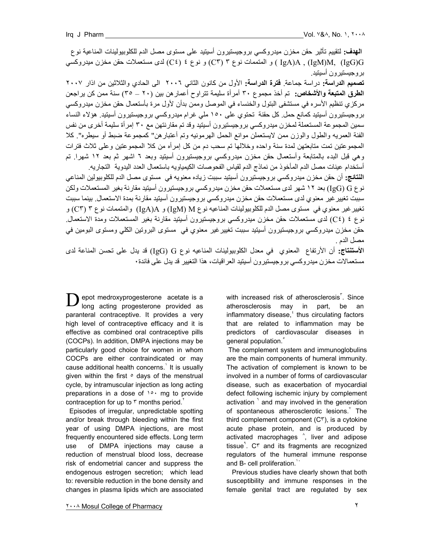**الهدف:** لتقييم تأثير حقن مخزن ميدروآسي بروجيستيرون أسيتيد على مستوى مصل الدم للكلوبيولينات المناعية نوع G)IgG (,M)IgM (, A)IgA ( و المتممات نوع ٣ (٣C (و نوع ٤ (٤C (لدى مستعملات حقن مخزن ميدروآسي بروجيستيرون أسيتيد.

**تصميم الدراسة:** دراسة جماعة. **فترة الدراسة:** الأول من آانون الثاني ٢٠٠٦ الى الحادي والثلاثين من اذار ٢٠٠٧ **الطرق المتبعة والأشخاص:** تم أخذ مجموع ٣٠ أمرأة سليمة تتراوح أعمارهن بين (٢٠ – ٣٥) سنة ممن آن يراجعن مركزي تنظيم الأسره في مستشفى البتول والخنساء في الموصل وممن بدأن لأول مرة بأستعمال حقن مخزن ميدروكسي بروجيستيرون أسيتيد كمانع حمل كل حقنة تحتوي على ١٥٠ ملي غرام ميدروكسي بروجيستيرون أسيتيد. هؤلاء النساء سمين المجموعة المستعملة لمخزن ميدروكسي بروجيستيرون أسيتيد وقد تم مقارنتهن مع ٣٠ إمرأة سليمة أخرى من نفس الفئة العمريه والطول والوزن ممن لايستعملن موانع الحمل الهرمونيه وتم أعتبار هن" كمجموعة ضبط أو سيطره". كلا المجمو عتين تمت متابعتهن لمدة سنة واحده وخلالها تم سحب دم من كل إمر أه من كلا المجمو عتين و على ثلاث فتر ات وهي قبل البدء بالمتابعة وأستعمال حقن مخزن ميدروآسي بروجيستيرون أسيتيد وبعد ٦ اشهر ثم بعد ١٢ شهرا. تم أستخدام عينات مصل الدم المأخوذ من نماذج الدم لقياس الفحوصات الكيمياويه باستعمال العدد اليدوية التجاريه.

**النتائج:** أن حقن مخزن ميدروآسي بروجيستيرون أسيتيد سببت زياده معنويه في مستوى مصل الدم للكلوبيولين المناعي نوع IgG) G) بعد ١٢ شهر لدى مستعملات حقن مخزن ميدروكسي بروجيستيرون أسيتيد مقارنة بغير المستعملات ولكن سببت تغييرغير معنوي لدى مستعملات حقن مخزن ميدروآسي بروجيستيرون أسيتيد مقارنة بمدة الاستعمال. بينما سببت تغييرغير معنوي في مستوى مصل الدم للكلوبيولينات المناعيه نوع M) IgM (و A)IgA (والمتممات نوع ٣ (٣C (و نوع ٤ (C٤) لدى مستعملات حقن مخزن ميدروكسي بروجيستيرون أسيتيد مقارنة بغير المستعملات ومدة الاستعمال<sub>.</sub> -<br>حقن مخز ن ميدر وكسي بر وجيستيرون أسيتيد سببت تغيير غير معنوي في مستوى البروتين الكلي ومستوى البومين في مصل الدم .

**الأستنتاج:** أن الأرتفاع المعنوي في معدل الكلوبيولينات المناعيه نوع G) IgG (قد يدل على تحسن المناعة لدى مستعمالات مخز ن ميدر وكسي بر وجيستير و ن أسيتيد العر اقيات، هذا التغيير قد يدل على فائدة ٠

epot medroxyprogesterone acetate is a long acting progesterone provided as paranteral contraceptive. It provides a very high level of contraceptive efficacy and it is effective as combined oral contraceptive pills (COCPs). In addition, DMPA injections may be particularly good choice for women in whom COCPs are either contraindicated or may cause additional health concerns. It is usually given within the first  $\circ$  days of the menstrual cycle, by intramuscular injection as long acting preparations in a dose of 10. mg to provide contraception for up to  $\mathfrak r$  months period.<sup> $\mathfrak r$ </sup>  $\mathbf{D}^{\text{\tiny{e}}}_{\text{\tiny{M}}}$ 

 Episodes of irregular, unpredictable spotting and/or break through bleeding within the first year of using DMPA injections, are most frequently encountered side effects. Long term use of DMPA injections may cause a reduction of menstrual blood loss, decrease risk of endometrial cancer and suppress the endogenous estrogen secretion; which lead to: reversible reduction in the bone density and changes in plasma lipids which are associated

with increased risk of atherosclerosis $\tilde{S}$ . Since atherosclerosis may in part, be an inflammatory disease, ${}^{t}$  thus circulating factors that are related to inflammation may be predictors of cardiovascular diseases in general population.

 The complement system and immunoglobulins are the main components of humeral immunity. The activation of complement is known to be involved in a number of forms of cardiovascular disease, such as exacerbation of myocardial defect following ischemic injury by complement activation  $\frac{1}{2}$  and may involved in the generation of spontaneous atherosclerotic lesions. The third complement component (C٣), is a cytokine acute phase protein, and is produced by activated macrophages  $\hat{ }$ , liver and adipose tissue<sup>1</sup>. C<sup>r</sup> and its fragments are recognized regulators of the humeral immune response and B- cell proliferation.<sup>1</sup>

 Previous studies have clearly shown that both susceptibility and immune responses in the female genital tract are regulated by sex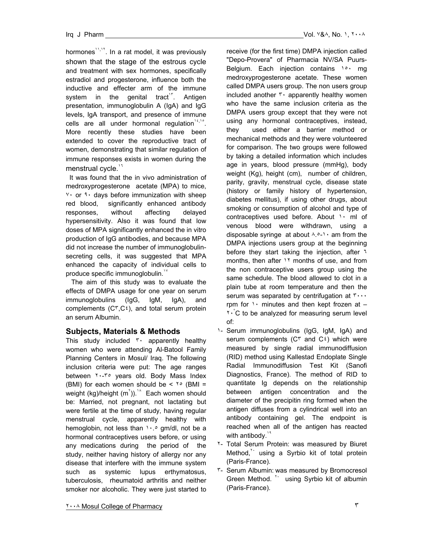hormones<sup>11,11</sup>. In a rat model, it was previously shown that the stage of the estrous cycle and treatment with sex hormones, specifically estradiol and progesterone, influence both the inductive and effecter arm of the immune system in the genital tract<sup>1</sup>. Antigen presentation, immunoglobulin A (IgA) and IgG levels, IgA transport, and presence of immune cells are all under hormonal regulation<sup>14,16</sup>. More recently these studies have been extended to cover the reproductive tract of women, demonstrating that similar regulation of immune responses exists in women during the menstrual cycle.<sup>11</sup>

 It was found that the in vivo administration of medroxyprogesterone acetate (MPA) to mice, ٧٠ or ٩٠ days before immunization with sheep red blood, significantly enhanced antibody responses, without affecting delayed hypersensitivity. Also it was found that low doses of MPA significantly enhanced the in vitro production of IgG antibodies, and because MPA did not increase the number of immunoglobulinsecreting cells, it was suggested that MPA enhanced the capacity of individual cells to produce specific immunoglobulin.<sup>17</sup>

 The aim of this study was to evaluate the effects of DMPA usage for one year on serum immunoglobulins (IgG, IgM, IgA), and complements  $(C<sup>r</sup>, C<sup>2</sup>)$ , and total serum protein an serum Albumin.

## **Subjects, Materials & Methods**

This study included ٣٠ apparently healthy women who were attending Al-Batool Family Planning Centers in Mosul/ Iraq. The following inclusion criteria were put: The age ranges between ٢٠-٣٥ years old. Body Mass Index (BMI) for each women should be  $\leq$   $\sqrt{6}$  (BMI = weight (kg)/height (m<sup>'</sup>)).<sup>14</sup> Each women should be: Married, not pregnant, not lactating but were fertile at the time of study, having regular menstrual cycle, apparently healthy with hemoglobin, not less than  $\cdots$  gm/dl, not be a hormonal contraceptives users before, or using any medications during the period of the study, neither having history of allergy nor any disease that interfere with the immune system such as systemic lupus erthymatosus, tuberculosis, rheumatoid arthritis and neither smoker nor alcoholic. They were just started to

receive (for the first time) DMPA injection called "Depo-Provera" of Pharmacia NV/SA Puurs-Belgium. Each injection contains \o mg medroxyprogesterone acetate. These women called DMPA users group. The non users group included another  $\mathfrak{r}$  apparently healthy women who have the same inclusion criteria as the DMPA users group except that they were not using any hormonal contraceptives, instead, they used either a barrier method or mechanical methods and they were volunteered for comparison. The two groups were followed by taking a detailed information which includes age in years, blood pressure (mmHg), body weight (Kg), height (cm), number of children, parity, gravity, menstrual cycle, disease state (history or family history of hypertension, diabetes mellitus), if using other drugs, about smoking or consumption of alcohol and type of contraceptives used before. About 1. ml of venous blood were withdrawn, using a disposable syringe at about  $\wedge$ .<sup>2</sup>  $\wedge$  am from the DMPA injections users group at the beginning before they start taking the injection, after ٦ months, then after 11 months of use, and from the non contraceptive users group using the same schedule. The blood allowed to clot in a plain tube at room temperature and then the serum was separated by centrifugation at ٣٠٠٠ rpm for  $\cdot \cdot$  minutes and then kept frozen at  $-$ **T** C to be analyzed for measuring serum level of:

- ١- Serum immunoglobulins (IgG, IgM, IgA) and serum complements ( $C<sup>r</sup>$  and  $C<sup>\xi</sup>$ ) which were measured by single radial immunodiffusion (RID) method using Kallestad Endoplate Single Radial Immunodiffusion Test Kit (Sanofi Diagnostics, France). The method of RID to quantitate Ig depends on the relationship between antigen concentration and the diameter of the precipitin ring formed when the antigen diffuses from a cylindrical well into an antibody containing gel. The endpoint is reached when all of the antigen has reacted with antibody.<sup>11</sup>
- ٢- Total Serum Protein: was measured by Biuret Method,<sup>\*\*</sup> using a Syrbio kit of total protein (Paris-France).
- ٣- Serum Albumin: was measured by Bromocresol Green Method. <sup>\*\*</sup> using Syrbio kit of albumin (Paris-France).

٢٠٠٨ Mosul College of Pharmacy٣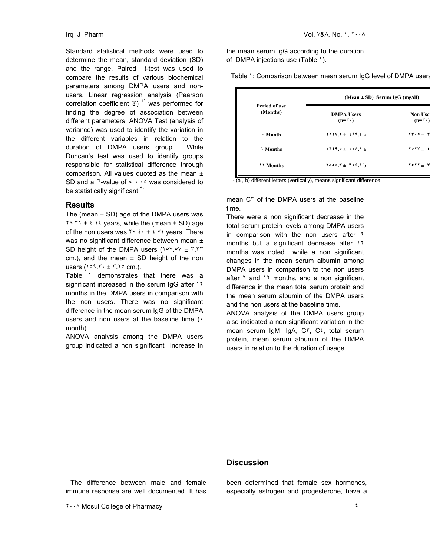Standard statistical methods were used to determine the mean, standard deviation (SD) and the range. Paired t-test was used to compare the results of various biochemical parameters among DMPA users and nonusers. Linear regression analysis (Pearson correlation coefficient ®) <sup>\*1</sup> was performed for finding the degree of association between different parameters. ANOVA Test (analysis of variance) was used to identify the variation in the different variables in relation to the duration of DMPA users group . While Duncan's test was used to identify groups responsible for statistical difference through comparison. All values quoted as the mean ± SD and a P-value of  $\leq \cdots$  was considered to be statistically significant.<sup> $1$ </sup>

## **Results**

The (mean  $\pm$  SD) age of the DMPA users was  $Y \wedge Y$ .  $Y \uparrow \pm i$ .  $i$  years, while the (mean  $\pm$  SD) age of the non users was  $YY \cdot t \cdot t \cdot YY$  years. There was no significant difference between mean ± SD height of the DMPA users (١٥٧.٥٧ ± ٣.٣٣ cm.), and the mean  $\pm$  SD height of the non users  $(101.7 \cdot \pm 7.70 \text{ cm.})$ .

Table 1 demonstrates that there was a significant increased in the serum IgG after 11 months in the DMPA users in comparison with the non users. There was no significant difference in the mean serum IgG of the DMPA users and non users at the baseline time ( $\cdot$ month).

ANOVA analysis among the DMPA users group indicated a non significant increase in the mean serum IgG according to the duration of DMPA injections use (Table ١).

Table 1: Comparison between mean serum IgG level of DMPA users

| Period of use<br>(Months) | $(Mean \pm SD)$ Serum IgG (mg/dl)             |                                            |
|---------------------------|-----------------------------------------------|--------------------------------------------|
|                           | <b>DMPA</b> Users<br>$(n = \mathbf{r} \cdot)$ | <b>Non Use</b><br>$(n = \mathbf{r} \cdot)$ |
| • Month                   | $YoYVY + f99, f9$                             | $\mathbf{Y} \cdot \mathbf{0} + \mathbf{Y}$ |
| <b>Months</b>             | $Y159.0 + 071.1a$                             | YOYV $\pm$ 2                               |
| <b>17 Months</b>          | $Y \wedge \circ \wedge Y + Y \wedge Y$        | $Y \circ Y Y + Y$                          |

- (a, b) different letters (vertically), means significant difference.

mean C٣ of the DMPA users at the baseline time.

There were a non significant decrease in the total serum protein levels among DMPA users in comparison with the non users after ٦ months but a significant decrease after ١٢ months was noted while a non significant changes in the mean serum albumin among DMPA users in comparison to the non users after 1 and 11 months, and a non significant difference in the mean total serum protein and the mean serum albumin of the DMPA users and the non users at the baseline time.

ANOVA analysis of the DMPA users group also indicated a non significant variation in the mean serum IgM, IgA, C٣, C٤, total serum protein, mean serum albumin of the DMPA users in relation to the duration of usage.

## **Discussion**

The difference between male and female immune response are well documented. It has

٢٠٠٨ Mosul College of Pharmacy٤

been determined that female sex hormones, especially estrogen and progesterone, have a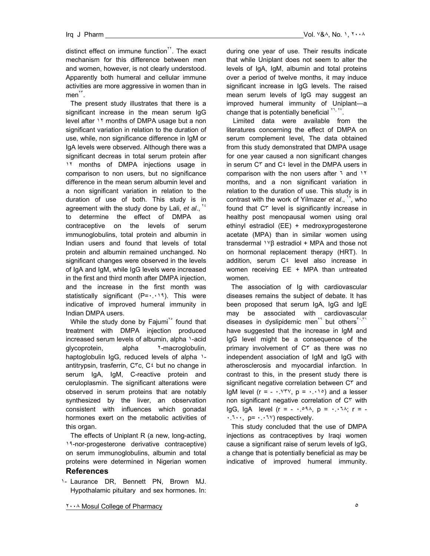distinct effect on immune function<sup> $H$ </sup>. The exact mechanism for this difference between men and women, however, is not clearly understood. Apparently both humeral and cellular immune activities are more aggressive in women than in  $men^{\prime\prime}$ .

The present study illustrates that there is a significant increase in the mean serum IgG level after ١٢ months of DMPA usage but a non significant variation in relation to the duration of use, while, non significance difference in IgM or IgA levels were observed. Although there was a significant decreas in total serum protein after 11 months of DMPA injections usage in comparison to non users, but no significance difference in the mean serum albumin level and a non significant variation in relation to the duration of use of both. This study is in agreement with the study done by Lali, *et al*., <sup>٢٤</sup> to determine the effect of DMPA as contraceptive on the levels of serum immunoglobulins, total protein and albumin in Indian users and found that levels of total protein and albumin remained unchanged. No significant changes were observed in the levels of IgA and IgM, while IgG levels were increased in the first and third month after DMPA injection, and the increase in the first month was statistically significant  $(P = \cdot \cdot \cdot \cdot)$ . This were indicative of improved humeral immunity in Indian DMPA users.

While the study done by Fajumi<sup>to</sup> found that treatment with DMPA injection produced increased serum levels of albumin, alpha ١-acid glycoprotein, alpha <sup>Y</sup>-macroglobulin, haptoglobulin IgG, reduced levels of alpha 1antitrypsin, trasferrin, C٣c, C٤ but no change in serum IgA, IgM, C-reactive protein and ceruloplasmin. The significant alterations were observed in serum proteins that are notably synthesized by the liver, an observation consistent with influences which gonadal hormones exert on the metabolic activities of this organ.

The effects of Uniplant R (a new, long-acting, ١٩-nor-progesterone derivative contraceptive) on serum immunoglobulins, albumin and total proteins were determined in Nigerian women

### **References**

١- Laurance DR, Bennett PN, Brown MJ. Hypothalamic pituitary and sex hormones. In: during one year of use. Their results indicate that while Uniplant does not seem to alter the levels of IgA, IgM, albumin and total proteins over a period of twelve months, it may induce significant increase in IgG levels. The raised mean serum levels of IgG may suggest an improved humeral immunity of Uniplant—a change that is potentially beneficial  $H_1, H_2$ .

 Limited data were available from the literatures concerning the effect of DMPA on serum complement level, The data obtained from this study demonstrated that DMPA usage for one year caused a non significant changes in serum C٣ and C٤ level in the DMPA users in comparison with the non users after ٦ and ١٢ months, and a non significant variation in relation to the duration of use. This study is in contrast with the work of Yilmazer *et al*., <sup>٢٨</sup>, who found that C٣ level is significantly increase in healthy post menopausal women using oral ethinyl estradiol (EE) + medroxyprogesterone acetate (MPA) than in similar women using transdermal <sup>1 γ</sup>β estradiol + MPA and those not on hormonal replacement therapy (HRT). In addition, serum C٤ level also increase in women receiving EE + MPA than untreated women.

The association of Ig with cardiovascular diseases remains the subject of debate. It has been proposed that serum IgA, IgG and IgE may be associated with cardiovascular diseases in dyslipidemic men<sup>14</sup> but others<sup> $r_1, r_1$ </sup> have suggested that the increase in IgM and IgG level might be a consequence of the primary involvement of C<sup>r</sup> as there was no independent association of IgM and IgG with atherosclerosis and myocardial infarction. In contrast to this, in the present study there is significant negative correlation between C٣ and IgM level ( $r = -1.98$ ,  $p = 0.11$ ) and a lesser non significant negative correlation of C٣ with IgG, IgA level  $(r = -1.091)$ ,  $p = 1.11$ ;  $r = -1.091$  $\cdot$ .  $\cdot \cdot \cdot$ ,  $p = \cdot \cdot \cdot \cdot \vee$  respectively.

This study concluded that the use of DMPA injections as contraceptives by Iraqi women cause a significant raise of serum levels of IgG, a change that is potentially beneficial as may be indicative of improved humeral immunity.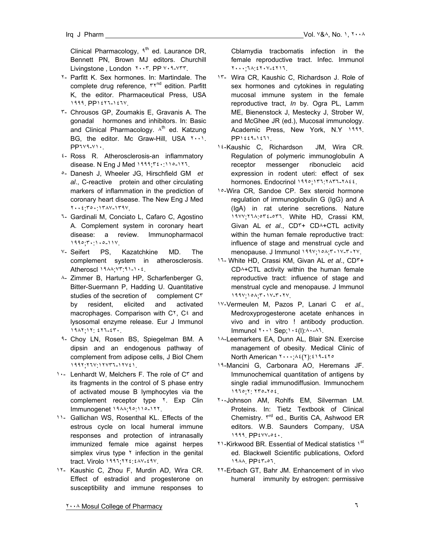Clinical Pharmacology,  $1^{\text{th}}$  ed. Laurance DR, Bennett PN, Brown MJ editors. Churchill Livingstone , London ٢٠٠٣. PP ٧٠٩-٧٣٣.

- ٢- Parfitt K. Sex hormones. In: Martindale. The complete drug reference,  $\mathsf{r}\mathsf{r}^{\mathsf{nd}}$  edition. Parfitt K, the editor. Pharmaceutical Press, USA ١٩٩٩. PP١٤٢٦-١٤٦٧.
- ٣- Chrousos GP, Zoumakis E, Gravanis A. The gonadal hormones and inhibitors. In: Basic and Clinical Pharmacology.  $\lambda^{th}$  ed. Katzung BG, the editor. Mc Graw-Hill, USA ٢٠٠١. PP٦٧٩-٧١٠.
- ٤- Ross R. Atherosclerosis-an inflammatory disease. N Eng J Med ١٩٩٩;٣٤٠:١١٥-١٢٦.
- ٥- Danesh J, Wheeler JG, Hirschfield GM *et al*., C-reactive protein and other circulating markers of inflammation in the prediction of coronary heart disease. The New Eng J Med ٢٠٠٤;٣٥٠:١٣٨٧-١٣٩٧.
- ٦- Gardinali M, Conciato L, Cafaro C, Agostino A. Complement system in coronary heart disease: a review. Immunopharmacol ١٩٩٥;٣٠:١٠٥-١١٧.
- ٧- Seifert PS, Kazatchkine MD. The complement system in atherosclerosis. Atheroscl ١٩٨٨;٧٣:٩١-١٠٤.
- ٨- Zimmer B, Hartung HP, Scharfenberger G, Bitter-Suermann P, Hadding U. Quantitative studies of the secretion of complement  $C^r$ by resident, elicited and activated macrophages. Comparison with C٢, C٤ and lysosomal enzyme release. Eur J Immunol ١٩٨٢;١٢: ٤٢٦-٤٣٠.
- ٩- Choy LN, Rosen BS, Spiegelman BM. A dipsin and an endogenous pathway of complement from adipose cells, J Biol Chem ١٩٩٢;٢٦٧:١٢٧٣٦-١٢٧٤١.
- ١٠- Lenhardt W, Melchers F. The role of C٣ and its fragments in the control of S phase entry of activated mouse B lymphocytes via the complement receptor type <sup>Y</sup>. Exp Clin Immunogenet ١٩٨٨;٩٥:١١٥-١٢٢.
- ١١- Gallichan WS, Rosenthal KL. Effects of the estrous cycle on local humeral immune responses and protection of intranasally immunized female mice against herpes simplex virus type  $\gamma$  infection in the genital tract. Virolo ١٩٩٦;٢٢٤:٤٨٧-٤٩٧.
- ١٢- Kaushic C, Zhou F, Murdin AD, Wira CR. Effect of estradiol and progesterone on susceptibility and immune responses to

Cblamydia tracbomatis infection in the female reproductive tract. Infec. Immunol ٢٠٠٠;٦٨:٤٢٠٧-٤٢١٦.

- ١٣- Wira CR, Kaushic C, Richardson J. Role of sex hormones and cytokines in regulating mucosal immune system in the female reproductive tract, *In* by. Ogra PL, Lamm ME, Bienenstock J, Mestecky J, Strober W, and McGhee JR (ed.), Mucosal immunology. Academic Press, New York, N.Y ١٩٩٩. PP١٤٤٩-١٤٦١.
- ١٤- Kaushic C, Richardson JM, Wira CR. Regulation of polymeric immunoglobulin A receptor messenger ribonucleic acid expression in rodent uteri: effect of sex hormones. Endocrinol ١٩٩٥;١٣٦:٢٨٣٦-٢٨٤٤.
- ١٥- Wira CR, Sandoe CP. Sex steroid hormone regulation of immunoglobulin G (IgG) and A (IgA) in rat uterine secretions. Nature ١٩٧٧;٢٦٨:٥٣٤-٥٣٦. White HD, Crassi KM, Givan AL *et al*., CD٣+ CD٨+CTL activity within the human female reproductive tract: influence of stage and menstrual cycle and menopause. J Immunol ١٩٩٧;١٥٨;٣٠١٧-٣٠٢٧.
- ١٦- White HD, Crassi KM, Givan AL *et al*., CD٣+ CD٨+CTL activity within the human female reproductive tract: influence of stage and menstrual cycle and menopause. J Immunol ١٩٩٧;١٥٨;٣٠١٧-٣٠٢٧.
- ١٧- Vermeulen M, Pazos P, Lanari C *et al*., Medroxyprogesterone acetate enhances in vivo and in vitro ! antibody production. Immunol ٢٠٠١ Sep;١٠٤(l):٨٠-٨٦.
- ١٨- Leemarkers EA, Dunn AL, Blair SN. Exercise management of obesity. Medical Clinic of North American ٢٠٠٠;٨٤(٢):٤١٩-٤٢٥
- ١٩- Mancini G, Carbonara AO, Heremans JF. Immunochemical quantitation of antigens by single radial immunodiffusion. Immunochem ١٩٦٥;٢: ٢٣٥-٢٥٤.
- ٢٠- Johnson AM, Rohlfs EM, Silverman LM. Proteins. In: Tietz Textbook of Clinical Chemistry.  $\mathbf{r}^{\text{rd}}$  ed., Buritis CA, Ashwood ER editors. W.B. Saunders Company, USA ١٩٩٩. PP٤٧٧-٥٤٠.
- ٢١- Kirkwood BR. Essential of Medical statistics ١st ed. Blackwell Scientific publications, Oxford ١٩٨٨. PP٤٣-٥٦.
- ٢٢- Erbach GT, Bahr JM. Enhancement of in vivo humeral immunity by estrogen: permissive

٢٠٠٨ Mosul College of Pharmacy٦